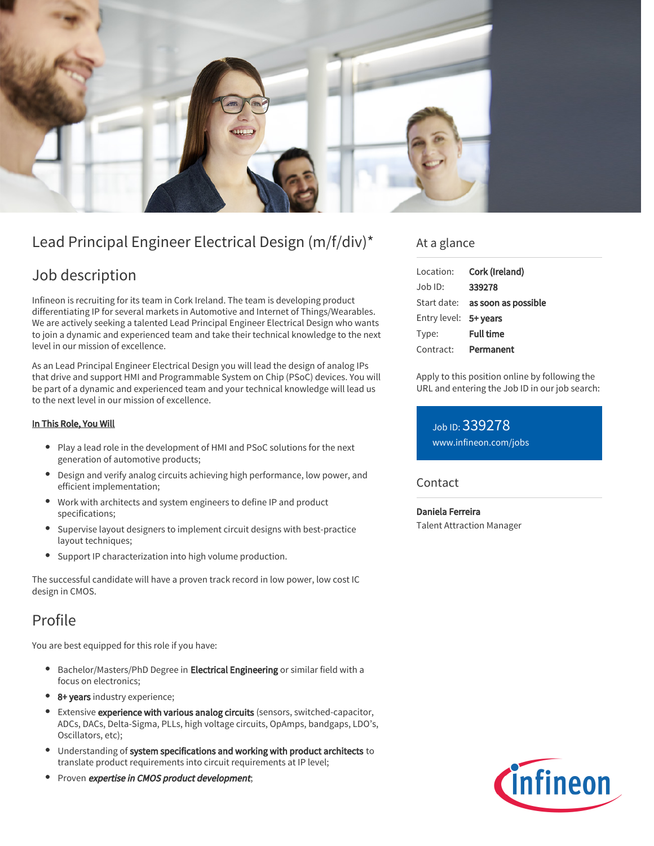

# Lead Principal Engineer Electrical Design (m/f/div)\*

# Job description

Infineon is recruiting for its team in Cork Ireland. The team is developing product differentiating IP for several markets in Automotive and Internet of Things/Wearables. We are actively seeking a talented Lead Principal Engineer Electrical Design who wants to join a dynamic and experienced team and take their technical knowledge to the next level in our mission of excellence.

As an Lead Principal Engineer Electrical Design you will lead the design of analog IPs that drive and support HMI and Programmable System on Chip (PSoC) devices. You will be part of a dynamic and experienced team and your technical knowledge will lead us to the next level in our mission of excellence.

### In This Role, You Will

- Play a lead role in the development of HMI and PSoC solutions for the next generation of automotive products;
- Design and verify analog circuits achieving high performance, low power, and efficient implementation;
- Work with architects and system engineers to define IP and product specifications;
- Supervise layout designers to implement circuit designs with best-practice layout techniques;
- Support IP characterization into high volume production.

The successful candidate will have a proven track record in low power, low cost IC design in CMOS.

# Profile

You are best equipped for this role if you have:

- **•** Bachelor/Masters/PhD Degree in **Electrical Engineering** or similar field with a focus on electronics;
- 8+ years industry experience;
- **Extensive experience with various analog circuits** (sensors, switched-capacitor, ADCs, DACs, Delta-Sigma, PLLs, high voltage circuits, OpAmps, bandgaps, LDO's, Oscillators, etc);
- Understanding of system specifications and working with product architects to translate product requirements into circuit requirements at IP level;
- Proven expertise in CMOS product development;

## At a glance

| Location:             | Cork (Ireland)                         |
|-----------------------|----------------------------------------|
| $Job$ ID:             | 339278                                 |
|                       | Start date: <b>as soon as possible</b> |
| Entry level: 5+ years |                                        |
| Type:                 | <b>Full time</b>                       |
| Contract:             | Permanent                              |

Apply to this position online by following the URL and entering the Job ID in our job search:

Job ID: 339278 [www.infineon.com/jobs](https://www.infineon.com/jobs)

### **Contact**

Daniela Ferreira Talent Attraction Manager